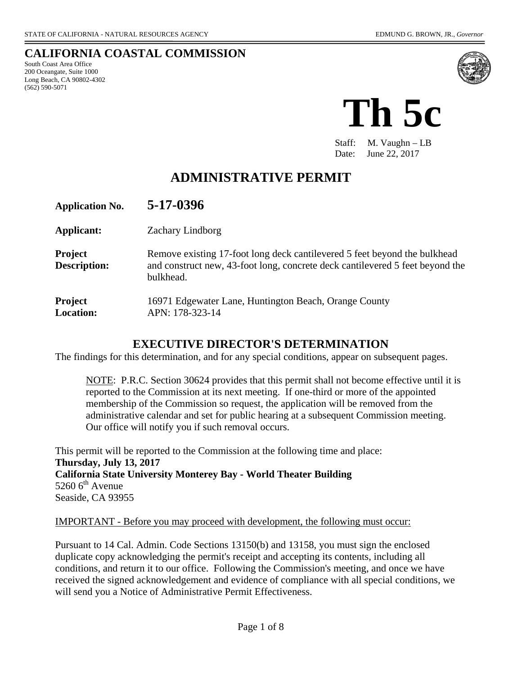#### **CALIFORNIA COASTAL COMMISSION** South Coast Area Office 200 Oceangate, Suite 1000 Long Beach, CA 90802-4302 (562) 590-5071



**Th 5c**

Staff: M. Vaughn – LB Date: June 22, 2017

# **ADMINISTRATIVE PERMIT**

| <b>Application No.</b>             | 5-17-0396                                                                                                                                                               |
|------------------------------------|-------------------------------------------------------------------------------------------------------------------------------------------------------------------------|
| Applicant:                         | <b>Zachary Lindborg</b>                                                                                                                                                 |
| Project<br><b>Description:</b>     | Remove existing 17-foot long deck cantilevered 5 feet beyond the bulkhead<br>and construct new, 43-foot long, concrete deck cantilevered 5 feet beyond the<br>bulkhead. |
| <b>Project</b><br><b>Location:</b> | 16971 Edgewater Lane, Huntington Beach, Orange County<br>APN: 178-323-14                                                                                                |

#### **EXECUTIVE DIRECTOR'S DETERMINATION**

The findings for this determination, and for any special conditions, appear on subsequent pages.

NOTE: P.R.C. Section 30624 provides that this permit shall not become effective until it is reported to the Commission at its next meeting. If one-third or more of the appointed membership of the Commission so request, the application will be removed from the administrative calendar and set for public hearing at a subsequent Commission meeting. Our office will notify you if such removal occurs.

This permit will be reported to the Commission at the following time and place: **Thursday, July 13, 2017 California State University Monterey Bay - World Theater Building**  $5260$  6<sup>th</sup> Avenue Seaside, CA 93955

IMPORTANT - Before you may proceed with development, the following must occur:

Pursuant to 14 Cal. Admin. Code Sections 13150(b) and 13158, you must sign the enclosed duplicate copy acknowledging the permit's receipt and accepting its contents, including all conditions, and return it to our office. Following the Commission's meeting, and once we have received the signed acknowledgement and evidence of compliance with all special conditions, we will send you a Notice of Administrative Permit Effectiveness.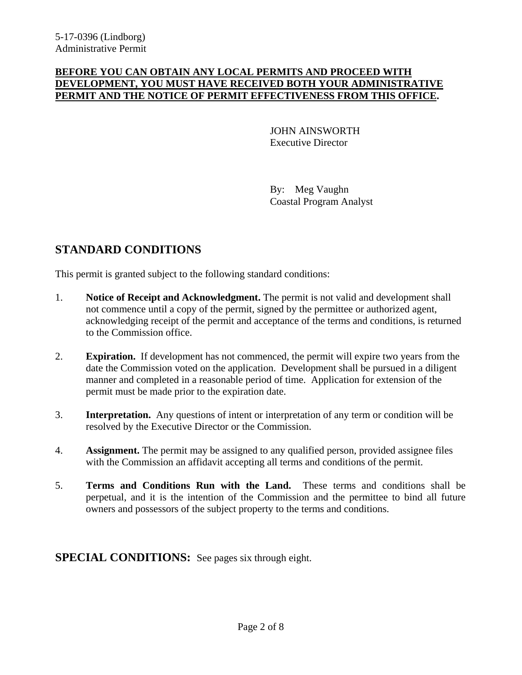#### **BEFORE YOU CAN OBTAIN ANY LOCAL PERMITS AND PROCEED WITH DEVELOPMENT, YOU MUST HAVE RECEIVED BOTH YOUR ADMINISTRATIVE PERMIT AND THE NOTICE OF PERMIT EFFECTIVENESS FROM THIS OFFICE.**

 JOHN AINSWORTH Executive Director

By: Meg Vaughn Coastal Program Analyst

## **STANDARD CONDITIONS**

This permit is granted subject to the following standard conditions:

- 1. **Notice of Receipt and Acknowledgment.** The permit is not valid and development shall not commence until a copy of the permit, signed by the permittee or authorized agent, acknowledging receipt of the permit and acceptance of the terms and conditions, is returned to the Commission office.
- 2. **Expiration.** If development has not commenced, the permit will expire two years from the date the Commission voted on the application. Development shall be pursued in a diligent manner and completed in a reasonable period of time. Application for extension of the permit must be made prior to the expiration date.
- 3. **Interpretation.** Any questions of intent or interpretation of any term or condition will be resolved by the Executive Director or the Commission.
- 4. **Assignment.** The permit may be assigned to any qualified person, provided assignee files with the Commission an affidavit accepting all terms and conditions of the permit.
- 5. **Terms and Conditions Run with the Land.** These terms and conditions shall be perpetual, and it is the intention of the Commission and the permittee to bind all future owners and possessors of the subject property to the terms and conditions.

**SPECIAL CONDITIONS:** See pages six through eight.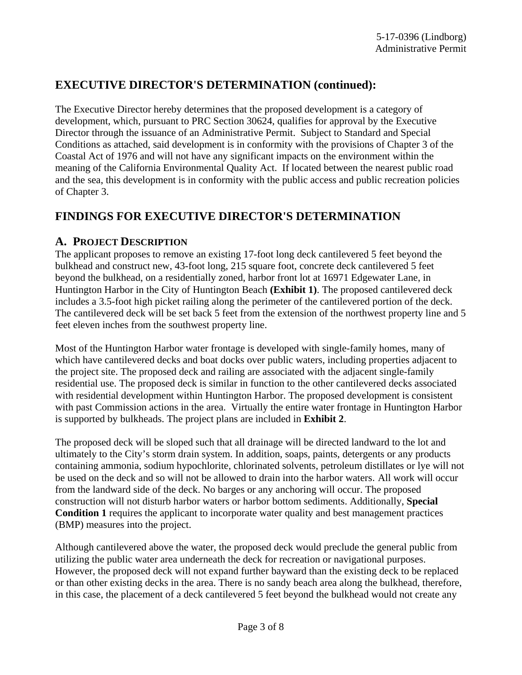## **EXECUTIVE DIRECTOR'S DETERMINATION (continued):**

The Executive Director hereby determines that the proposed development is a category of development, which, pursuant to PRC Section 30624, qualifies for approval by the Executive Director through the issuance of an Administrative Permit. Subject to Standard and Special Conditions as attached, said development is in conformity with the provisions of Chapter 3 of the Coastal Act of 1976 and will not have any significant impacts on the environment within the meaning of the California Environmental Quality Act. If located between the nearest public road and the sea, this development is in conformity with the public access and public recreation policies of Chapter 3.

## **FINDINGS FOR EXECUTIVE DIRECTOR'S DETERMINATION**

### **A. PROJECT DESCRIPTION**

The applicant proposes to remove an existing 17-foot long deck cantilevered 5 feet beyond the bulkhead and construct new, 43-foot long, 215 square foot, concrete deck cantilevered 5 feet beyond the bulkhead, on a residentially zoned, harbor front lot at 16971 Edgewater Lane, in Huntington Harbor in the City of Huntington Beach **(Exhibit 1)**. The proposed cantilevered deck includes a 3.5-foot high picket railing along the perimeter of the cantilevered portion of the deck. The cantilevered deck will be set back 5 feet from the extension of the northwest property line and 5 feet eleven inches from the southwest property line.

Most of the Huntington Harbor water frontage is developed with single-family homes, many of which have cantilevered decks and boat docks over public waters, including properties adjacent to the project site. The proposed deck and railing are associated with the adjacent single-family residential use. The proposed deck is similar in function to the other cantilevered decks associated with residential development within Huntington Harbor. The proposed development is consistent with past Commission actions in the area. Virtually the entire water frontage in Huntington Harbor is supported by bulkheads. The project plans are included in **Exhibit 2**.

The proposed deck will be sloped such that all drainage will be directed landward to the lot and ultimately to the City's storm drain system. In addition, soaps, paints, detergents or any products containing ammonia, sodium hypochlorite, chlorinated solvents, petroleum distillates or lye will not be used on the deck and so will not be allowed to drain into the harbor waters. All work will occur from the landward side of the deck. No barges or any anchoring will occur. The proposed construction will not disturb harbor waters or harbor bottom sediments. Additionally, **Special Condition 1** requires the applicant to incorporate water quality and best management practices (BMP) measures into the project.

Although cantilevered above the water, the proposed deck would preclude the general public from utilizing the public water area underneath the deck for recreation or navigational purposes. However, the proposed deck will not expand further bayward than the existing deck to be replaced or than other existing decks in the area. There is no sandy beach area along the bulkhead, therefore, in this case, the placement of a deck cantilevered 5 feet beyond the bulkhead would not create any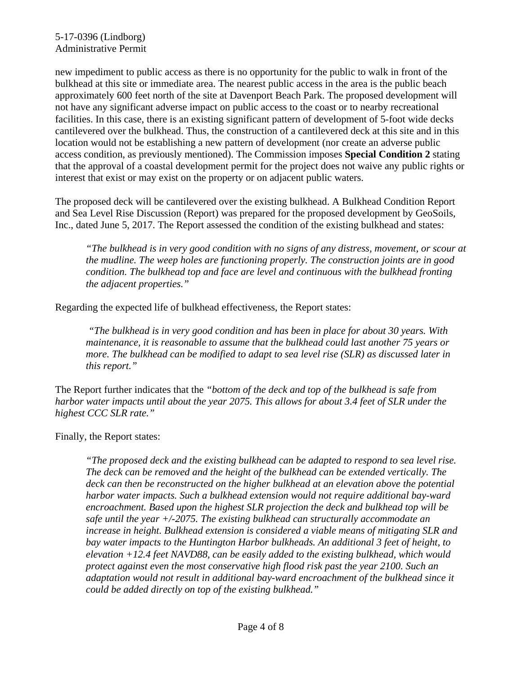new impediment to public access as there is no opportunity for the public to walk in front of the bulkhead at this site or immediate area. The nearest public access in the area is the public beach approximately 600 feet north of the site at Davenport Beach Park. The proposed development will not have any significant adverse impact on public access to the coast or to nearby recreational facilities. In this case, there is an existing significant pattern of development of 5-foot wide decks cantilevered over the bulkhead. Thus, the construction of a cantilevered deck at this site and in this location would not be establishing a new pattern of development (nor create an adverse public access condition, as previously mentioned). The Commission imposes **Special Condition 2** stating that the approval of a coastal development permit for the project does not waive any public rights or interest that exist or may exist on the property or on adjacent public waters.

The proposed deck will be cantilevered over the existing bulkhead. A Bulkhead Condition Report and Sea Level Rise Discussion (Report) was prepared for the proposed development by GeoSoils, Inc., dated June 5, 2017. The Report assessed the condition of the existing bulkhead and states:

*"The bulkhead is in very good condition with no signs of any distress, movement, or scour at the mudline. The weep holes are functioning properly. The construction joints are in good condition. The bulkhead top and face are level and continuous with the bulkhead fronting the adjacent properties."* 

Regarding the expected life of bulkhead effectiveness, the Report states:

 *"The bulkhead is in very good condition and has been in place for about 30 years. With maintenance, it is reasonable to assume that the bulkhead could last another 75 years or more. The bulkhead can be modified to adapt to sea level rise (SLR) as discussed later in this report."* 

The Report further indicates that the *"bottom of the deck and top of the bulkhead is safe from harbor water impacts until about the year 2075. This allows for about 3.4 feet of SLR under the highest CCC SLR rate."* 

Finally, the Report states:

*"The proposed deck and the existing bulkhead can be adapted to respond to sea level rise. The deck can be removed and the height of the bulkhead can be extended vertically. The deck can then be reconstructed on the higher bulkhead at an elevation above the potential harbor water impacts. Such a bulkhead extension would not require additional bay-ward encroachment. Based upon the highest SLR projection the deck and bulkhead top will be safe until the year +/-2075. The existing bulkhead can structurally accommodate an increase in height. Bulkhead extension is considered a viable means of mitigating SLR and bay water impacts to the Huntington Harbor bulkheads. An additional 3 feet of height, to elevation +12.4 feet NAVD88, can be easily added to the existing bulkhead, which would protect against even the most conservative high flood risk past the year 2100. Such an adaptation would not result in additional bay-ward encroachment of the bulkhead since it could be added directly on top of the existing bulkhead."*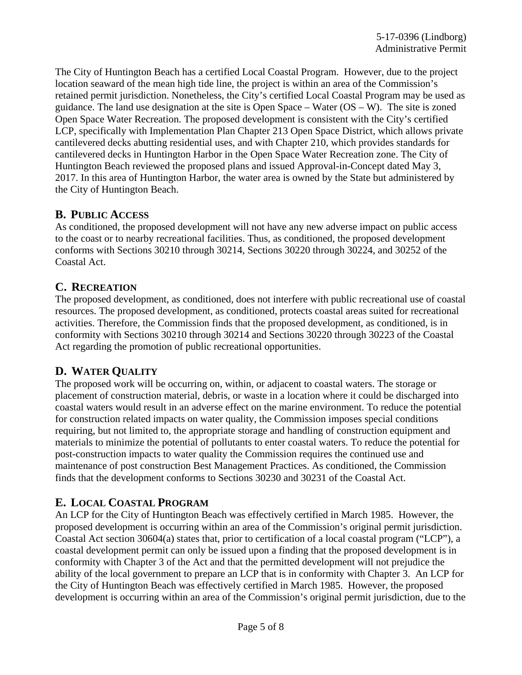The City of Huntington Beach has a certified Local Coastal Program. However, due to the project location seaward of the mean high tide line, the project is within an area of the Commission's retained permit jurisdiction. Nonetheless, the City's certified Local Coastal Program may be used as guidance. The land use designation at the site is Open Space – Water (OS – W). The site is zoned Open Space Water Recreation. The proposed development is consistent with the City's certified LCP, specifically with Implementation Plan Chapter 213 Open Space District, which allows private cantilevered decks abutting residential uses, and with Chapter 210, which provides standards for cantilevered decks in Huntington Harbor in the Open Space Water Recreation zone. The City of Huntington Beach reviewed the proposed plans and issued Approval-in-Concept dated May 3, 2017. In this area of Huntington Harbor, the water area is owned by the State but administered by the City of Huntington Beach.

### **B. PUBLIC ACCESS**

As conditioned, the proposed development will not have any new adverse impact on public access to the coast or to nearby recreational facilities. Thus, as conditioned, the proposed development conforms with Sections 30210 through 30214, Sections 30220 through 30224, and 30252 of the Coastal Act.

### **C. RECREATION**

The proposed development, as conditioned, does not interfere with public recreational use of coastal resources. The proposed development, as conditioned, protects coastal areas suited for recreational activities. Therefore, the Commission finds that the proposed development, as conditioned, is in conformity with Sections 30210 through 30214 and Sections 30220 through 30223 of the Coastal Act regarding the promotion of public recreational opportunities.

## **D. WATER QUALITY**

The proposed work will be occurring on, within, or adjacent to coastal waters. The storage or placement of construction material, debris, or waste in a location where it could be discharged into coastal waters would result in an adverse effect on the marine environment. To reduce the potential for construction related impacts on water quality, the Commission imposes special conditions requiring, but not limited to, the appropriate storage and handling of construction equipment and materials to minimize the potential of pollutants to enter coastal waters. To reduce the potential for post-construction impacts to water quality the Commission requires the continued use and maintenance of post construction Best Management Practices. As conditioned, the Commission finds that the development conforms to Sections 30230 and 30231 of the Coastal Act.

## **E. LOCAL COASTAL PROGRAM**

An LCP for the City of Huntington Beach was effectively certified in March 1985. However, the proposed development is occurring within an area of the Commission's original permit jurisdiction. Coastal Act section 30604(a) states that, prior to certification of a local coastal program ("LCP"), a coastal development permit can only be issued upon a finding that the proposed development is in conformity with Chapter 3 of the Act and that the permitted development will not prejudice the ability of the local government to prepare an LCP that is in conformity with Chapter 3. An LCP for the City of Huntington Beach was effectively certified in March 1985. However, the proposed development is occurring within an area of the Commission's original permit jurisdiction, due to the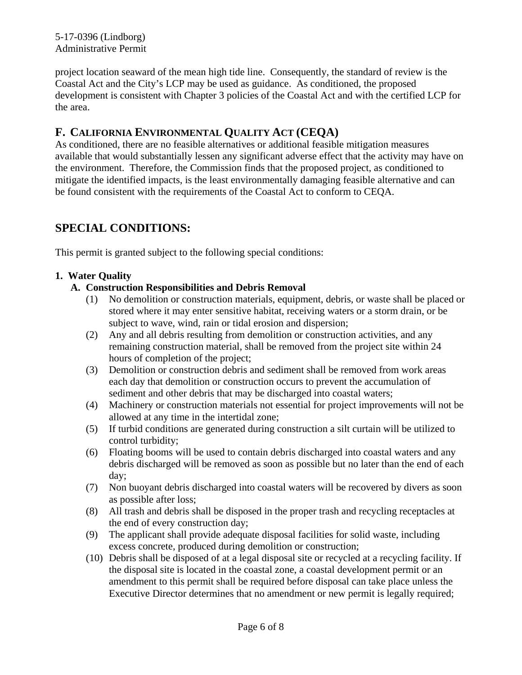project location seaward of the mean high tide line. Consequently, the standard of review is the Coastal Act and the City's LCP may be used as guidance. As conditioned, the proposed development is consistent with Chapter 3 policies of the Coastal Act and with the certified LCP for the area.

## **F. CALIFORNIA ENVIRONMENTAL QUALITY ACT (CEQA)**

As conditioned, there are no feasible alternatives or additional feasible mitigation measures available that would substantially lessen any significant adverse effect that the activity may have on the environment. Therefore, the Commission finds that the proposed project, as conditioned to mitigate the identified impacts, is the least environmentally damaging feasible alternative and can be found consistent with the requirements of the Coastal Act to conform to CEQA.

## **SPECIAL CONDITIONS:**

This permit is granted subject to the following special conditions:

#### **1. Water Quality**

#### **A. Construction Responsibilities and Debris Removal**

- (1) No demolition or construction materials, equipment, debris, or waste shall be placed or stored where it may enter sensitive habitat, receiving waters or a storm drain, or be subject to wave, wind, rain or tidal erosion and dispersion;
- (2) Any and all debris resulting from demolition or construction activities, and any remaining construction material, shall be removed from the project site within 24 hours of completion of the project;
- (3) Demolition or construction debris and sediment shall be removed from work areas each day that demolition or construction occurs to prevent the accumulation of sediment and other debris that may be discharged into coastal waters;
- (4) Machinery or construction materials not essential for project improvements will not be allowed at any time in the intertidal zone;
- (5) If turbid conditions are generated during construction a silt curtain will be utilized to control turbidity;
- (6) Floating booms will be used to contain debris discharged into coastal waters and any debris discharged will be removed as soon as possible but no later than the end of each day;
- (7) Non buoyant debris discharged into coastal waters will be recovered by divers as soon as possible after loss;
- (8) All trash and debris shall be disposed in the proper trash and recycling receptacles at the end of every construction day;
- (9) The applicant shall provide adequate disposal facilities for solid waste, including excess concrete, produced during demolition or construction;
- (10) Debris shall be disposed of at a legal disposal site or recycled at a recycling facility. If the disposal site is located in the coastal zone, a coastal development permit or an amendment to this permit shall be required before disposal can take place unless the Executive Director determines that no amendment or new permit is legally required;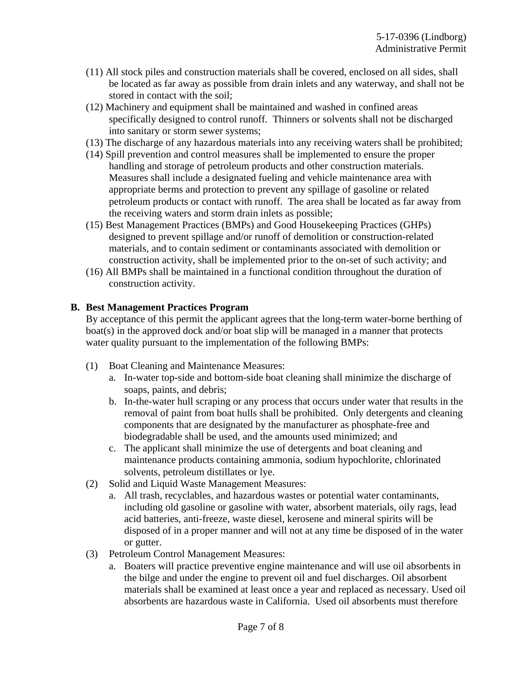- (11) All stock piles and construction materials shall be covered, enclosed on all sides, shall be located as far away as possible from drain inlets and any waterway, and shall not be stored in contact with the soil;
- (12) Machinery and equipment shall be maintained and washed in confined areas specifically designed to control runoff. Thinners or solvents shall not be discharged into sanitary or storm sewer systems;
- (13) The discharge of any hazardous materials into any receiving waters shall be prohibited;
- (14) Spill prevention and control measures shall be implemented to ensure the proper handling and storage of petroleum products and other construction materials. Measures shall include a designated fueling and vehicle maintenance area with appropriate berms and protection to prevent any spillage of gasoline or related petroleum products or contact with runoff. The area shall be located as far away from the receiving waters and storm drain inlets as possible;
- (15) Best Management Practices (BMPs) and Good Housekeeping Practices (GHPs) designed to prevent spillage and/or runoff of demolition or construction-related materials, and to contain sediment or contaminants associated with demolition or construction activity, shall be implemented prior to the on-set of such activity; and
- (16) All BMPs shall be maintained in a functional condition throughout the duration of construction activity.

#### **B. Best Management Practices Program**

By acceptance of this permit the applicant agrees that the long-term water-borne berthing of boat(s) in the approved dock and/or boat slip will be managed in a manner that protects water quality pursuant to the implementation of the following BMPs:

- (1) Boat Cleaning and Maintenance Measures:
	- a. In-water top-side and bottom-side boat cleaning shall minimize the discharge of soaps, paints, and debris;
	- b. In-the-water hull scraping or any process that occurs under water that results in the removal of paint from boat hulls shall be prohibited. Only detergents and cleaning components that are designated by the manufacturer as phosphate-free and biodegradable shall be used, and the amounts used minimized; and
	- c. The applicant shall minimize the use of detergents and boat cleaning and maintenance products containing ammonia, sodium hypochlorite, chlorinated solvents, petroleum distillates or lye.
- (2) Solid and Liquid Waste Management Measures:
	- a. All trash, recyclables, and hazardous wastes or potential water contaminants, including old gasoline or gasoline with water, absorbent materials, oily rags, lead acid batteries, anti-freeze, waste diesel, kerosene and mineral spirits will be disposed of in a proper manner and will not at any time be disposed of in the water or gutter.
- (3) Petroleum Control Management Measures:
	- a. Boaters will practice preventive engine maintenance and will use oil absorbents in the bilge and under the engine to prevent oil and fuel discharges. Oil absorbent materials shall be examined at least once a year and replaced as necessary. Used oil absorbents are hazardous waste in California. Used oil absorbents must therefore